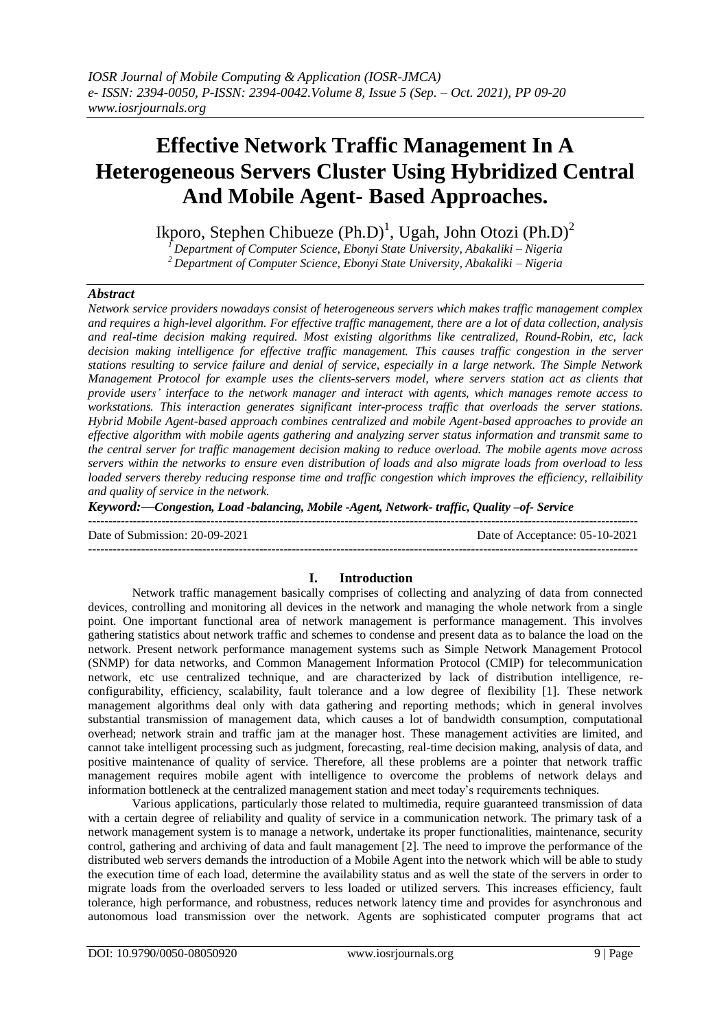# **Effective Network Traffic Management In A Heterogeneous Servers Cluster Using Hybridized Central And Mobile Agent- Based Approaches.**

Ikporo, Stephen Chibueze (Ph.D)<sup>1</sup>, Ugah, John Otozi (Ph.D)<sup>2</sup>

*<sup>1</sup> Department of Computer Science, Ebonyi State University, Abakaliki – Nigeria <sup>2</sup>Department of Computer Science, Ebonyi State University, Abakaliki – Nigeria*

#### *Abstract*

*Network service providers nowadays consist of heterogeneous servers which makes traffic management complex and requires a high-level algorithm. For effective traffic management, there are a lot of data collection, analysis and real-time decision making required. Most existing algorithms like centralized, Round-Robin, etc, lack decision making intelligence for effective traffic management. This causes traffic congestion in the server stations resulting to service failure and denial of service, especially in a large network. The Simple Network Management Protocol for example uses the clients-servers model, where servers station act as clients that provide users' interface to the network manager and interact with agents, which manages remote access to workstations. This interaction generates significant inter-process traffic that overloads the server stations. Hybrid Mobile Agent-based approach combines centralized and mobile Agent-based approaches to provide an effective algorithm with mobile agents gathering and analyzing server status information and transmit same to the central server for traffic management decision making to reduce overload. The mobile agents move across servers within the networks to ensure even distribution of loads and also migrate loads from overload to less loaded servers thereby reducing response time and traffic congestion which improves the efficiency, rellaibility and quality of service in the network.*

*Keyword:—Congestion, Load -balancing, Mobile -Agent, Network- traffic, Quality –of- Service*

| Date of Submission: 20-09-2021 | Date of Acceptance: 05-10-2021 |
|--------------------------------|--------------------------------|
|                                |                                |

# **I. Introduction**

Network traffic management basically comprises of collecting and analyzing of data from connected devices, controlling and monitoring all devices in the network and managing the whole network from a single point. One important functional area of network management is performance management. This involves gathering statistics about network traffic and schemes to condense and present data as to balance the load on the network. Present network performance management systems such as Simple Network Management Protocol (SNMP) for data networks, and Common Management Information Protocol (CMIP) for telecommunication network, etc use centralized technique, and are characterized by lack of distribution intelligence, reconfigurability, efficiency, scalability, fault tolerance and a low degree of flexibility [1]. These network management algorithms deal only with data gathering and reporting methods; which in general involves substantial transmission of management data, which causes a lot of bandwidth consumption, computational overhead; network strain and traffic jam at the manager host. These management activities are limited, and cannot take intelligent processing such as judgment, forecasting, real-time decision making, analysis of data, and positive maintenance of quality of service. Therefore, all these problems are a pointer that network traffic management requires mobile agent with intelligence to overcome the problems of network delays and information bottleneck at the centralized management station and meet today's requirements techniques.

Various applications, particularly those related to multimedia, require guaranteed transmission of data with a certain degree of reliability and quality of service in a communication network. The primary task of a network management system is to manage a network, undertake its proper functionalities, maintenance, security control, gathering and archiving of data and fault management [2]. The need to improve the performance of the distributed web servers demands the introduction of a Mobile Agent into the network which will be able to study the execution time of each load, determine the availability status and as well the state of the servers in order to migrate loads from the overloaded servers to less loaded or utilized servers. This increases efficiency, fault tolerance, high performance, and robustness, reduces network latency time and provides for asynchronous and autonomous load transmission over the network. Agents are sophisticated computer programs that act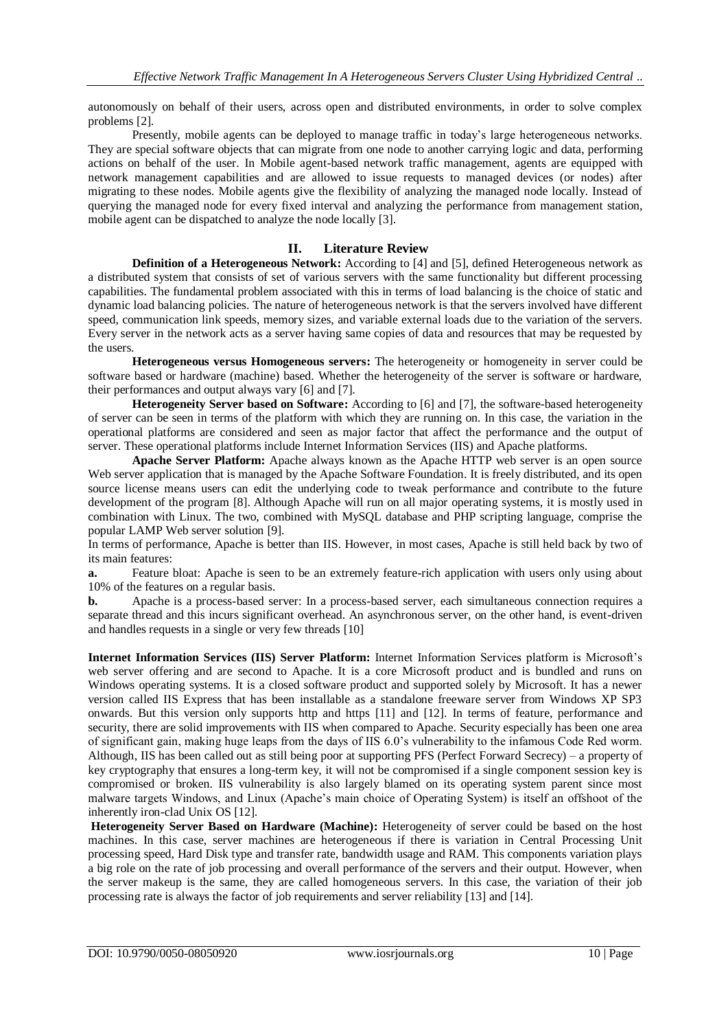autonomously on behalf of their users, across open and distributed environments, in order to solve complex problems [2].

Presently, mobile agents can be deployed to manage traffic in today's large heterogeneous networks. They are special software objects that can migrate from one node to another carrying logic and data, performing actions on behalf of the user. In Mobile agent-based network traffic management, agents are equipped with network management capabilities and are allowed to issue requests to managed devices (or nodes) after migrating to these nodes. Mobile agents give the flexibility of analyzing the managed node locally. Instead of querying the managed node for every fixed interval and analyzing the performance from management station, mobile agent can be dispatched to analyze the node locally [3].

## **II. Literature Review**

**Definition of a Heterogeneous Network:** According to [4] and [5], defined Heterogeneous network as a distributed system that consists of set of various servers with the same functionality but different processing capabilities. The fundamental problem associated with this in terms of load balancing is the choice of static and dynamic load balancing policies. The nature of heterogeneous network is that the servers involved have different speed, communication link speeds, memory sizes, and variable external loads due to the variation of the servers. Every server in the network acts as a server having same copies of data and resources that may be requested by the users.

**Heterogeneous versus Homogeneous servers:** The heterogeneity or homogeneity in server could be software based or hardware (machine) based. Whether the heterogeneity of the server is software or hardware, their performances and output always vary [6] and [7].

**Heterogeneity Server based on Software:** According to [6] and [7], the software-based heterogeneity of server can be seen in terms of the platform with which they are running on. In this case, the variation in the operational platforms are considered and seen as major factor that affect the performance and the output of server. These operational platforms include Internet Information Services (IIS) and Apache platforms.

**Apache Server Platform:** Apache always known as the Apache HTTP web server is an open source Web server application that is managed by the Apache Software Foundation. It is freely distributed, and its open source license means users can edit the underlying code to tweak performance and contribute to the future development of the program [8]. Although Apache will run on all major operating systems, it is mostly used in combination with Linux. The two, combined with MySQL database and PHP scripting language, comprise the popular LAMP Web server solution [9].

In terms of performance, Apache is better than IIS. However, in most cases, Apache is still held back by two of its main features:

**a.** Feature bloat: Apache is seen to be an extremely feature-rich application with users only using about 10% of the features on a regular basis.

**b.** Apache is a process-based server: In a process-based server, each simultaneous connection requires a separate thread and this incurs significant overhead. An asynchronous server, on the other hand, is event-driven and handles requests in a single or very few threads [10]

**Internet Information Services (IIS) Server Platform:** Internet Information Services platform is Microsoft's web server offering and are second to Apache. It is a core Microsoft product and is bundled and runs on Windows operating systems. It is a closed software product and supported solely by Microsoft. It has a newer version called IIS Express that has been installable as a standalone freeware server from Windows XP SP3 onwards. But this version only supports http and https [11] and [12]. In terms of feature, performance and security, there are solid improvements with IIS when compared to Apache. Security especially has been one area of significant gain, making huge leaps from the days of IIS 6.0's vulnerability to the infamous Code Red worm. Although, IIS has been called out as still being poor at supporting PFS (Perfect Forward Secrecy) – a property of key cryptography that ensures a long-term key, it will not be compromised if a single component session key is compromised or broken. IIS vulnerability is also largely blamed on its operating system parent since most malware targets Windows, and Linux (Apache's main choice of Operating System) is itself an offshoot of the inherently iron-clad Unix OS [12].

**Heterogeneity Server Based on Hardware (Machine):** Heterogeneity of server could be based on the host machines. In this case, server machines are heterogeneous if there is variation in Central Processing Unit processing speed, Hard Disk type and transfer rate, bandwidth usage and RAM. This components variation plays a big role on the rate of job processing and overall performance of the servers and their output. However, when the server makeup is the same, they are called homogeneous servers. In this case, the variation of their job processing rate is always the factor of job requirements and server reliability [13] and [14].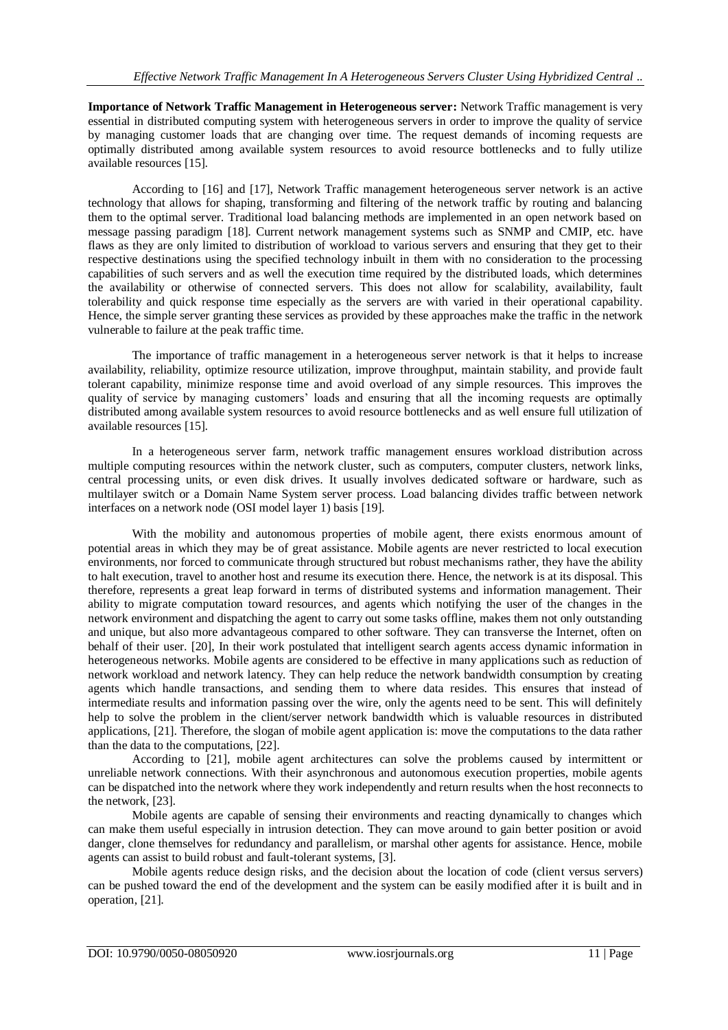**Importance of Network Traffic Management in Heterogeneous server:** Network Traffic management is very essential in distributed computing system with heterogeneous servers in order to improve the quality of service by managing customer loads that are changing over time. The request demands of incoming requests are optimally distributed among available system resources to avoid resource bottlenecks and to fully utilize available resources [15].

According to [16] and [17], Network Traffic management heterogeneous server network is an active technology that allows for shaping, transforming and filtering of the network traffic by routing and balancing them to the optimal server. Traditional load balancing methods are implemented in an open network based on message passing paradigm [18]. Current network management systems such as SNMP and CMIP, etc. have flaws as they are only limited to distribution of workload to various servers and ensuring that they get to their respective destinations using the specified technology inbuilt in them with no consideration to the processing capabilities of such servers and as well the execution time required by the distributed loads, which determines the availability or otherwise of connected servers. This does not allow for scalability, availability, fault tolerability and quick response time especially as the servers are with varied in their operational capability. Hence, the simple server granting these services as provided by these approaches make the traffic in the network vulnerable to failure at the peak traffic time.

The importance of traffic management in a heterogeneous server network is that it helps to increase availability, reliability, optimize resource utilization, improve throughput, maintain stability, and provide fault tolerant capability, minimize response time and avoid overload of any simple resources. This improves the quality of service by managing customers' loads and ensuring that all the incoming requests are optimally distributed among available system resources to avoid resource bottlenecks and as well ensure full utilization of available resources [15].

In a heterogeneous server farm, network traffic management ensures workload distribution across multiple computing resources within the network cluster, such as computers, computer clusters, network links, central processing units, or even disk drives. It usually involves dedicated software or hardware, such as multilayer switch or a Domain Name System server process. Load balancing divides traffic between network interfaces on a network node (OSI model layer 1) basis [19].

With the mobility and autonomous properties of mobile agent, there exists enormous amount of potential areas in which they may be of great assistance. Mobile agents are never restricted to local execution environments, nor forced to communicate through structured but robust mechanisms rather, they have the ability to halt execution, travel to another host and resume its execution there. Hence, the network is at its disposal. This therefore, represents a great leap forward in terms of distributed systems and information management. Their ability to migrate computation toward resources, and agents which notifying the user of the changes in the network environment and dispatching the agent to carry out some tasks offline, makes them not only outstanding and unique, but also more advantageous compared to other software. They can transverse the Internet, often on behalf of their user. [20], In their work postulated that intelligent search agents access dynamic information in heterogeneous networks. Mobile agents are considered to be effective in many applications such as reduction of network workload and network latency. They can help reduce the network bandwidth consumption by creating agents which handle transactions, and sending them to where data resides. This ensures that instead of intermediate results and information passing over the wire, only the agents need to be sent. This will definitely help to solve the problem in the client/server network bandwidth which is valuable resources in distributed applications, [21]. Therefore, the slogan of mobile agent application is: move the computations to the data rather than the data to the computations, [22].

According to [21], mobile agent architectures can solve the problems caused by intermittent or unreliable network connections. With their asynchronous and autonomous execution properties, mobile agents can be dispatched into the network where they work independently and return results when the host reconnects to the network, [23].

Mobile agents are capable of sensing their environments and reacting dynamically to changes which can make them useful especially in intrusion detection. They can move around to gain better position or avoid danger, clone themselves for redundancy and parallelism, or marshal other agents for assistance. Hence, mobile agents can assist to build robust and fault-tolerant systems, [3].

Mobile agents reduce design risks, and the decision about the location of code (client versus servers) can be pushed toward the end of the development and the system can be easily modified after it is built and in operation, [21].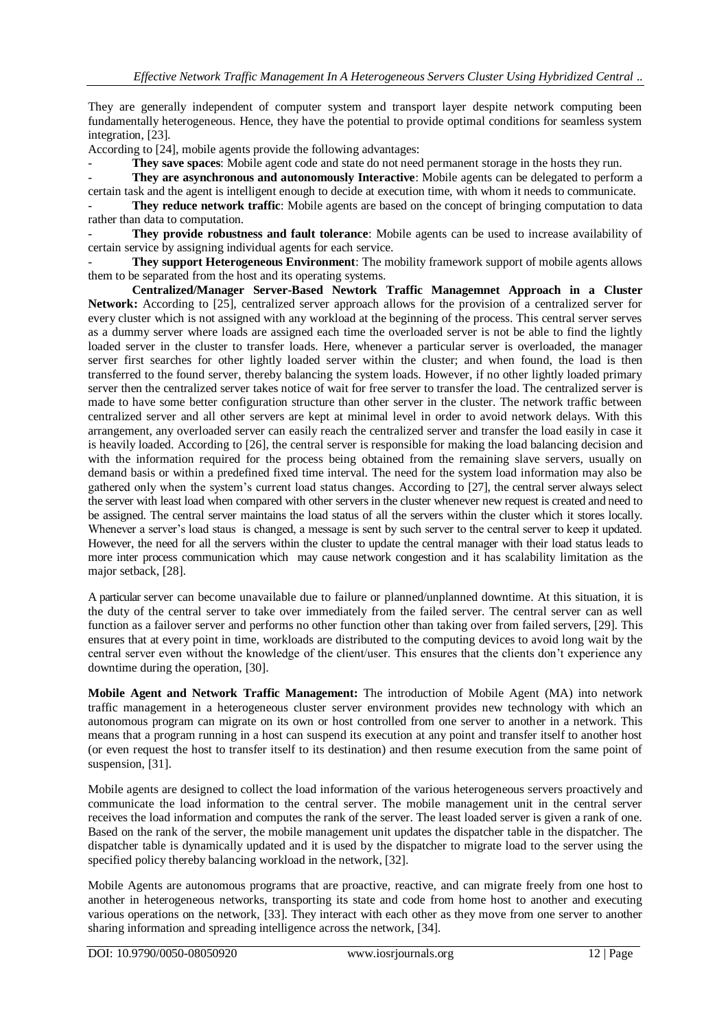They are generally independent of computer system and transport layer despite network computing been fundamentally heterogeneous. Hence, they have the potential to provide optimal conditions for seamless system integration, [23].

According to [24], mobile agents provide the following advantages:

- **They save spaces**: Mobile agent code and state do not need permanent storage in the hosts they run.

They are asynchronous and autonomously Interactive: Mobile agents can be delegated to perform a certain task and the agent is intelligent enough to decide at execution time, with whom it needs to communicate.

**They reduce network traffic**: Mobile agents are based on the concept of bringing computation to data rather than data to computation.

- **They provide robustness and fault tolerance**: Mobile agents can be used to increase availability of certain service by assigning individual agents for each service.

They support Heterogeneous Environment: The mobility framework support of mobile agents allows them to be separated from the host and its operating systems.

**Centralized/Manager Server-Based Newtork Traffic Managemnet Approach in a Cluster Network:** According to [25], centralized server approach allows for the provision of a centralized server for every cluster which is not assigned with any workload at the beginning of the process. This central server serves as a dummy server where loads are assigned each time the overloaded server is not be able to find the lightly loaded server in the cluster to transfer loads. Here, whenever a particular server is overloaded, the manager server first searches for other lightly loaded server within the cluster; and when found, the load is then transferred to the found server, thereby balancing the system loads. However, if no other lightly loaded primary server then the centralized server takes notice of wait for free server to transfer the load. The centralized server is made to have some better configuration structure than other server in the cluster. The network traffic between centralized server and all other servers are kept at minimal level in order to avoid network delays. With this arrangement, any overloaded server can easily reach the centralized server and transfer the load easily in case it is heavily loaded. According to [26], the central server is responsible for making the load balancing decision and with the information required for the process being obtained from the remaining slave servers, usually on demand basis or within a predefined fixed time interval. The need for the system load information may also be gathered only when the system's current load status changes. According to [27], the central server always select the server with least load when compared with other servers in the cluster whenever new request is created and need to be assigned. The central server maintains the load status of all the servers within the cluster which it stores locally. Whenever a server's load staus is changed, a message is sent by such server to the central server to keep it updated. However, the need for all the servers within the cluster to update the central manager with their load status leads to more inter process communication which may cause network congestion and it has scalability limitation as the major setback, [28].

A particular server can become unavailable due to failure or planned/unplanned downtime. At this situation, it is the duty of the central server to take over immediately from the failed server. The central server can as well function as a failover server and performs no other function other than taking over from failed servers, [29]. This ensures that at every point in time, workloads are distributed to the computing devices to avoid long wait by the central server even without the knowledge of the client/user. This ensures that the clients don't experience any downtime during the operation, [30].

**Mobile Agent and Network Traffic Management:** The introduction of Mobile Agent (MA) into network traffic management in a heterogeneous cluster server environment provides new technology with which an autonomous program can migrate on its own or host controlled from one server to another in a network. This means that a program running in a host can suspend its execution at any point and transfer itself to another host (or even request the host to transfer itself to its destination) and then resume execution from the same point of suspension, [31].

Mobile agents are designed to collect the load information of the various heterogeneous servers proactively and communicate the load information to the central server. The mobile management unit in the central server receives the load information and computes the rank of the server. The least loaded server is given a rank of one. Based on the rank of the server, the mobile management unit updates the dispatcher table in the dispatcher. The dispatcher table is dynamically updated and it is used by the dispatcher to migrate load to the server using the specified policy thereby balancing workload in the network, [32].

Mobile Agents are autonomous programs that are proactive, reactive, and can migrate freely from one host to another in heterogeneous networks, transporting its state and code from home host to another and executing various operations on the network, [33]. They interact with each other as they move from one server to another sharing information and spreading intelligence across the network, [34].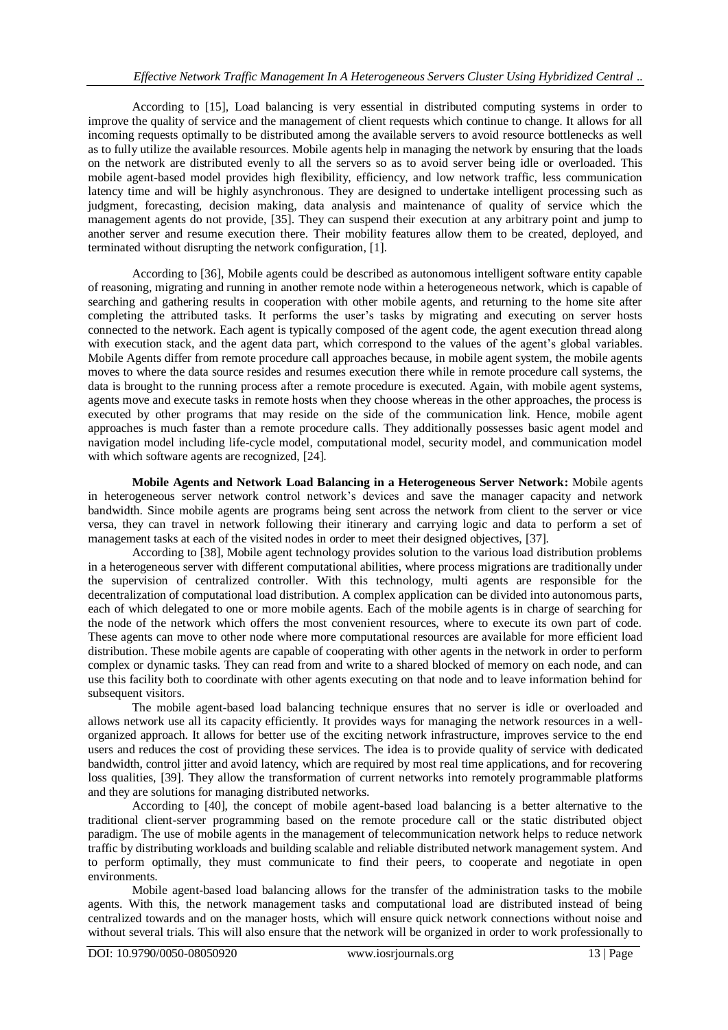According to [15], Load balancing is very essential in distributed computing systems in order to improve the quality of service and the management of client requests which continue to change. It allows for all incoming requests optimally to be distributed among the available servers to avoid resource bottlenecks as well as to fully utilize the available resources. Mobile agents help in managing the network by ensuring that the loads on the network are distributed evenly to all the servers so as to avoid server being idle or overloaded. This mobile agent-based model provides high flexibility, efficiency, and low network traffic, less communication latency time and will be highly asynchronous. They are designed to undertake intelligent processing such as judgment, forecasting, decision making, data analysis and maintenance of quality of service which the management agents do not provide, [35]. They can suspend their execution at any arbitrary point and jump to another server and resume execution there. Their mobility features allow them to be created, deployed, and terminated without disrupting the network configuration, [1].

According to [36], Mobile agents could be described as autonomous intelligent software entity capable of reasoning, migrating and running in another remote node within a heterogeneous network, which is capable of searching and gathering results in cooperation with other mobile agents, and returning to the home site after completing the attributed tasks. It performs the user's tasks by migrating and executing on server hosts connected to the network. Each agent is typically composed of the agent code, the agent execution thread along with execution stack, and the agent data part, which correspond to the values of the agent's global variables. Mobile Agents differ from remote procedure call approaches because, in mobile agent system, the mobile agents moves to where the data source resides and resumes execution there while in remote procedure call systems, the data is brought to the running process after a remote procedure is executed. Again, with mobile agent systems, agents move and execute tasks in remote hosts when they choose whereas in the other approaches, the process is executed by other programs that may reside on the side of the communication link. Hence, mobile agent approaches is much faster than a remote procedure calls. They additionally possesses basic agent model and navigation model including life-cycle model, computational model, security model, and communication model with which software agents are recognized, [24].

**Mobile Agents and Network Load Balancing in a Heterogeneous Server Network:** Mobile agents in heterogeneous server network control network's devices and save the manager capacity and network bandwidth. Since mobile agents are programs being sent across the network from client to the server or vice versa, they can travel in network following their itinerary and carrying logic and data to perform a set of management tasks at each of the visited nodes in order to meet their designed objectives, [37].

According to [38], Mobile agent technology provides solution to the various load distribution problems in a heterogeneous server with different computational abilities, where process migrations are traditionally under the supervision of centralized controller. With this technology, multi agents are responsible for the decentralization of computational load distribution. A complex application can be divided into autonomous parts, each of which delegated to one or more mobile agents. Each of the mobile agents is in charge of searching for the node of the network which offers the most convenient resources, where to execute its own part of code. These agents can move to other node where more computational resources are available for more efficient load distribution. These mobile agents are capable of cooperating with other agents in the network in order to perform complex or dynamic tasks. They can read from and write to a shared blocked of memory on each node, and can use this facility both to coordinate with other agents executing on that node and to leave information behind for subsequent visitors.

The mobile agent-based load balancing technique ensures that no server is idle or overloaded and allows network use all its capacity efficiently. It provides ways for managing the network resources in a wellorganized approach. It allows for better use of the exciting network infrastructure, improves service to the end users and reduces the cost of providing these services. The idea is to provide quality of service with dedicated bandwidth, control jitter and avoid latency, which are required by most real time applications, and for recovering loss qualities, [39]. They allow the transformation of current networks into remotely programmable platforms and they are solutions for managing distributed networks.

According to [40], the concept of mobile agent-based load balancing is a better alternative to the traditional client-server programming based on the remote procedure call or the static distributed object paradigm. The use of mobile agents in the management of telecommunication network helps to reduce network traffic by distributing workloads and building scalable and reliable distributed network management system. And to perform optimally, they must communicate to find their peers, to cooperate and negotiate in open environments.

Mobile agent-based load balancing allows for the transfer of the administration tasks to the mobile agents. With this, the network management tasks and computational load are distributed instead of being centralized towards and on the manager hosts, which will ensure quick network connections without noise and without several trials. This will also ensure that the network will be organized in order to work professionally to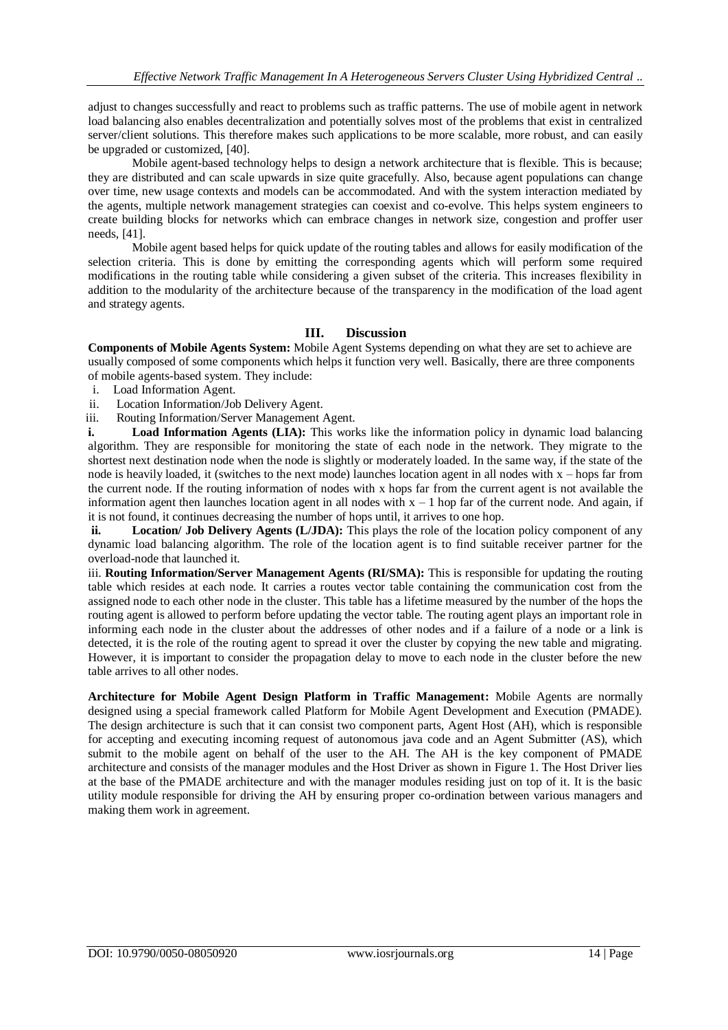adjust to changes successfully and react to problems such as traffic patterns. The use of mobile agent in network load balancing also enables decentralization and potentially solves most of the problems that exist in centralized server/client solutions. This therefore makes such applications to be more scalable, more robust, and can easily be upgraded or customized, [40].

Mobile agent-based technology helps to design a network architecture that is flexible. This is because; they are distributed and can scale upwards in size quite gracefully. Also, because agent populations can change over time, new usage contexts and models can be accommodated. And with the system interaction mediated by the agents, multiple network management strategies can coexist and co-evolve. This helps system engineers to create building blocks for networks which can embrace changes in network size, congestion and proffer user needs, [41].

Mobile agent based helps for quick update of the routing tables and allows for easily modification of the selection criteria. This is done by emitting the corresponding agents which will perform some required modifications in the routing table while considering a given subset of the criteria. This increases flexibility in addition to the modularity of the architecture because of the transparency in the modification of the load agent and strategy agents.

#### **III. Discussion**

**Components of Mobile Agents System:** Mobile Agent Systems depending on what they are set to achieve are usually composed of some components which helps it function very well. Basically, there are three components of mobile agents-based system. They include:

- i. Load Information Agent.
- ii. Location Information/Job Delivery Agent.
- iii. Routing Information/Server Management Agent.

**i. Load Information Agents (LIA):** This works like the information policy in dynamic load balancing algorithm. They are responsible for monitoring the state of each node in the network. They migrate to the shortest next destination node when the node is slightly or moderately loaded. In the same way, if the state of the node is heavily loaded, it (switches to the next mode) launches location agent in all nodes with x – hops far from the current node. If the routing information of nodes with x hops far from the current agent is not available the information agent then launches location agent in all nodes with  $x - 1$  hop far of the current node. And again, if it is not found, it continues decreasing the number of hops until, it arrives to one hop.

**ii. Location/ Job Delivery Agents (L/JDA):** This plays the role of the location policy component of any dynamic load balancing algorithm. The role of the location agent is to find suitable receiver partner for the overload-node that launched it.

iii. **Routing Information/Server Management Agents (RI/SMA):** This is responsible for updating the routing table which resides at each node. It carries a routes vector table containing the communication cost from the assigned node to each other node in the cluster. This table has a lifetime measured by the number of the hops the routing agent is allowed to perform before updating the vector table. The routing agent plays an important role in informing each node in the cluster about the addresses of other nodes and if a failure of a node or a link is detected, it is the role of the routing agent to spread it over the cluster by copying the new table and migrating. However, it is important to consider the propagation delay to move to each node in the cluster before the new table arrives to all other nodes.

**Architecture for Mobile Agent Design Platform in Traffic Management:** Mobile Agents are normally designed using a special framework called Platform for Mobile Agent Development and Execution (PMADE). The design architecture is such that it can consist two component parts, Agent Host (AH), which is responsible for accepting and executing incoming request of autonomous java code and an Agent Submitter (AS), which submit to the mobile agent on behalf of the user to the AH. The AH is the key component of PMADE architecture and consists of the manager modules and the Host Driver as shown in Figure 1. The Host Driver lies at the base of the PMADE architecture and with the manager modules residing just on top of it. It is the basic utility module responsible for driving the AH by ensuring proper co-ordination between various managers and making them work in agreement.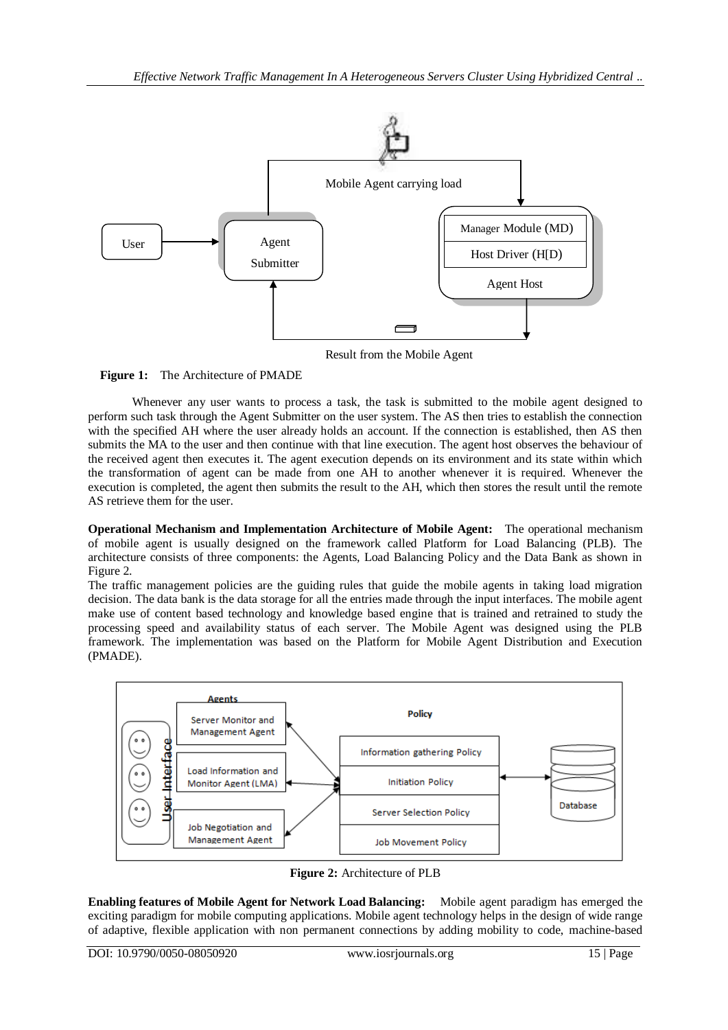

Result from the Mobile Agent

**Figure 1:** The Architecture of PMADE

Whenever any user wants to process a task, the task is submitted to the mobile agent designed to perform such task through the Agent Submitter on the user system. The AS then tries to establish the connection with the specified AH where the user already holds an account. If the connection is established, then AS then submits the MA to the user and then continue with that line execution. The agent host observes the behaviour of the received agent then executes it. The agent execution depends on its environment and its state within which the transformation of agent can be made from one AH to another whenever it is required. Whenever the execution is completed, the agent then submits the result to the AH, which then stores the result until the remote AS retrieve them for the user.

**Operational Mechanism and Implementation Architecture of Mobile Agent:** The operational mechanism of mobile agent is usually designed on the framework called Platform for Load Balancing (PLB). The architecture consists of three components: the Agents, Load Balancing Policy and the Data Bank as shown in Figure 2.

The traffic management policies are the guiding rules that guide the mobile agents in taking load migration decision. The data bank is the data storage for all the entries made through the input interfaces. The mobile agent make use of content based technology and knowledge based engine that is trained and retrained to study the processing speed and availability status of each server. The Mobile Agent was designed using the PLB framework. The implementation was based on the Platform for Mobile Agent Distribution and Execution (PMADE).



**Figure 2:** Architecture of PLB

**Enabling features of Mobile Agent for Network Load Balancing:** Mobile agent paradigm has emerged the exciting paradigm for mobile computing applications. Mobile agent technology helps in the design of wide range of adaptive, flexible application with non permanent connections by adding mobility to code, machine-based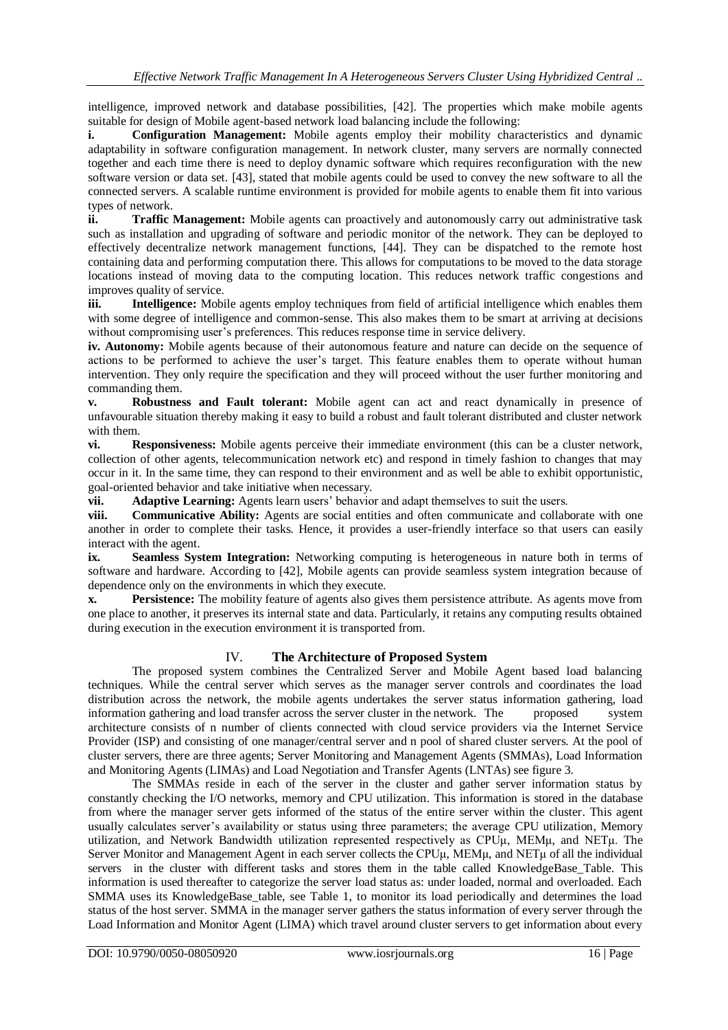intelligence, improved network and database possibilities, [42]. The properties which make mobile agents suitable for design of Mobile agent-based network load balancing include the following:

**i.** Configuration Management: Mobile agents employ their mobility characteristics and dynamic adaptability in software configuration management. In network cluster, many servers are normally connected together and each time there is need to deploy dynamic software which requires reconfiguration with the new software version or data set. [43], stated that mobile agents could be used to convey the new software to all the connected servers. A scalable runtime environment is provided for mobile agents to enable them fit into various types of network.

**ii. Traffic Management:** Mobile agents can proactively and autonomously carry out administrative task such as installation and upgrading of software and periodic monitor of the network. They can be deployed to effectively decentralize network management functions, [44]. They can be dispatched to the remote host containing data and performing computation there. This allows for computations to be moved to the data storage locations instead of moving data to the computing location. This reduces network traffic congestions and improves quality of service.

**iii. Intelligence:** Mobile agents employ techniques from field of artificial intelligence which enables them with some degree of intelligence and common-sense. This also makes them to be smart at arriving at decisions without compromising user's preferences. This reduces response time in service delivery.

**iv. Autonomy:** Mobile agents because of their autonomous feature and nature can decide on the sequence of actions to be performed to achieve the user's target. This feature enables them to operate without human intervention. They only require the specification and they will proceed without the user further monitoring and commanding them.

**v. Robustness and Fault tolerant:** Mobile agent can act and react dynamically in presence of unfavourable situation thereby making it easy to build a robust and fault tolerant distributed and cluster network with them.

**vi. Responsiveness:** Mobile agents perceive their immediate environment (this can be a cluster network, collection of other agents, telecommunication network etc) and respond in timely fashion to changes that may occur in it. In the same time, they can respond to their environment and as well be able to exhibit opportunistic, goal-oriented behavior and take initiative when necessary.

**vii. Adaptive Learning:** Agents learn users' behavior and adapt themselves to suit the users.

viii. Communicative Ability: Agents are social entities and often communicate and collaborate with one another in order to complete their tasks. Hence, it provides a user-friendly interface so that users can easily interact with the agent.

**ix. Seamless System Integration:** Networking computing is heterogeneous in nature both in terms of software and hardware. According to [42], Mobile agents can provide seamless system integration because of dependence only on the environments in which they execute.

**x. Persistence:** The mobility feature of agents also gives them persistence attribute. As agents move from one place to another, it preserves its internal state and data. Particularly, it retains any computing results obtained during execution in the execution environment it is transported from.

# IV. **The Architecture of Proposed System**

The proposed system combines the Centralized Server and Mobile Agent based load balancing techniques. While the central server which serves as the manager server controls and coordinates the load distribution across the network, the mobile agents undertakes the server status information gathering, load information gathering and load transfer across the server cluster in the network. The proposed system architecture consists of n number of clients connected with cloud service providers via the Internet Service Provider (ISP) and consisting of one manager/central server and n pool of shared cluster servers. At the pool of cluster servers, there are three agents; Server Monitoring and Management Agents (SMMAs), Load Information and Monitoring Agents (LIMAs) and Load Negotiation and Transfer Agents (LNTAs) see figure 3.

The SMMAs reside in each of the server in the cluster and gather server information status by constantly checking the I/O networks, memory and CPU utilization. This information is stored in the database from where the manager server gets informed of the status of the entire server within the cluster. This agent usually calculates server's availability or status using three parameters; the average CPU utilization, Memory utilization, and Network Bandwidth utilization represented respectively as CPUμ, MEMμ, and NETμ. The Server Monitor and Management Agent in each server collects the CPUμ, MEMμ, and NETμ of all the individual servers in the cluster with different tasks and stores them in the table called KnowledgeBase Table. This information is used thereafter to categorize the server load status as: under loaded, normal and overloaded. Each SMMA uses its KnowledgeBase table, see Table 1, to monitor its load periodically and determines the load status of the host server. SMMA in the manager server gathers the status information of every server through the Load Information and Monitor Agent (LIMA) which travel around cluster servers to get information about every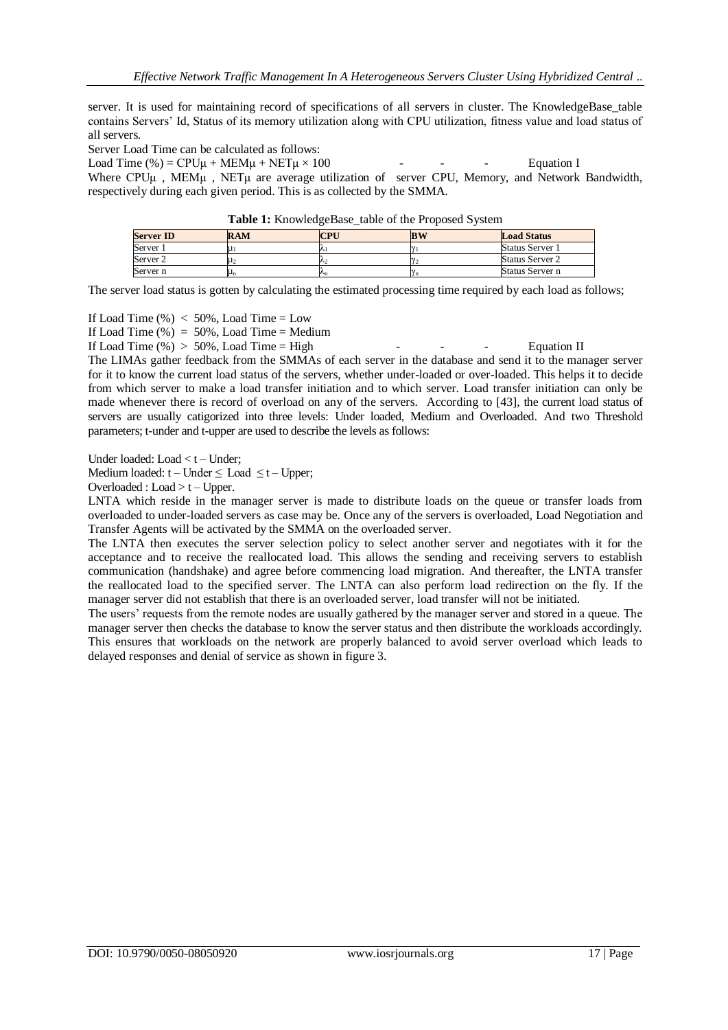server. It is used for maintaining record of specifications of all servers in cluster. The KnowledgeBase table contains Servers' Id, Status of its memory utilization along with CPU utilization, fitness value and load status of all servers.

Server Load Time can be calculated as follows:

Load Time  $%$  = CPU $\mu$  + MEM $\mu$  + NET $\mu \times 100$  - - - - Equation I Where CPUμ , MEMμ , NETμ are average utilization of server CPU, Memory, and Network Bandwidth, respectively during each given period. This is as collected by the SMMA.

| <b>Lable 1.</b> Knowledge Base Table of the Froposed System |            |     |           |                    |  |
|-------------------------------------------------------------|------------|-----|-----------|--------------------|--|
| <b>Server ID</b>                                            | <b>RAM</b> | CPU | <b>BW</b> | <b>Load Status</b> |  |
| Server 1                                                    |            |     |           | Status Server 1    |  |
| Server 2                                                    |            |     |           | Status Server 2    |  |
| Server n                                                    |            |     |           | Status Server n    |  |

The server load status is gotten by calculating the estimated processing time required by each load as follows;

If Load Time  $\left(\% \right) < 50\%$ , Load Time = Low

If Load Time  $(\%) = 50\%$ , Load Time = Medium

If Load Time (%)  $> 50\%$ , Load Time = High  $-$  -  $-$  Equation II

The LIMAs gather feedback from the SMMAs of each server in the database and send it to the manager server for it to know the current load status of the servers, whether under-loaded or over-loaded. This helps it to decide from which server to make a load transfer initiation and to which server. Load transfer initiation can only be made whenever there is record of overload on any of the servers. According to [43], the current load status of servers are usually catigorized into three levels: Under loaded, Medium and Overloaded. And two Threshold parameters; t-under and t-upper are used to describe the levels as follows:

Under loaded: Load < t – Under;

Medium loaded:  $t$  – Under  $\leq$  Load  $\leq$  t – Upper; Overloaded :  $Load > t - Upper$ .

LNTA which reside in the manager server is made to distribute loads on the queue or transfer loads from overloaded to under-loaded servers as case may be. Once any of the servers is overloaded, Load Negotiation and Transfer Agents will be activated by the SMMA on the overloaded server.

The LNTA then executes the server selection policy to select another server and negotiates with it for the acceptance and to receive the reallocated load. This allows the sending and receiving servers to establish communication (handshake) and agree before commencing load migration. And thereafter, the LNTA transfer the reallocated load to the specified server. The LNTA can also perform load redirection on the fly. If the manager server did not establish that there is an overloaded server, load transfer will not be initiated.

The users' requests from the remote nodes are usually gathered by the manager server and stored in a queue. The manager server then checks the database to know the server status and then distribute the workloads accordingly. This ensures that workloads on the network are properly balanced to avoid server overload which leads to delayed responses and denial of service as shown in figure 3.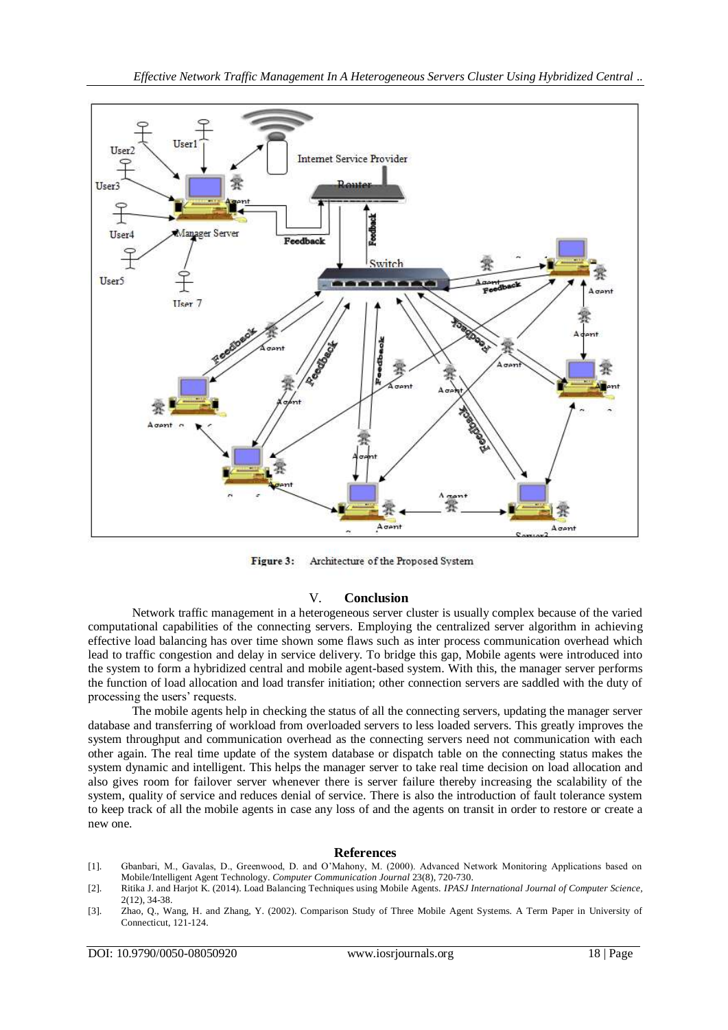

Figure 3: Architecture of the Proposed System

### V. **Conclusion**

Network traffic management in a heterogeneous server cluster is usually complex because of the varied computational capabilities of the connecting servers. Employing the centralized server algorithm in achieving effective load balancing has over time shown some flaws such as inter process communication overhead which lead to traffic congestion and delay in service delivery. To bridge this gap, Mobile agents were introduced into the system to form a hybridized central and mobile agent-based system. With this, the manager server performs the function of load allocation and load transfer initiation; other connection servers are saddled with the duty of processing the users' requests.

The mobile agents help in checking the status of all the connecting servers, updating the manager server database and transferring of workload from overloaded servers to less loaded servers. This greatly improves the system throughput and communication overhead as the connecting servers need not communication with each other again. The real time update of the system database or dispatch table on the connecting status makes the system dynamic and intelligent. This helps the manager server to take real time decision on load allocation and also gives room for failover server whenever there is server failure thereby increasing the scalability of the system, quality of service and reduces denial of service. There is also the introduction of fault tolerance system to keep track of all the mobile agents in case any loss of and the agents on transit in order to restore or create a new one.

#### **References**

- [1]. Gbanbari, M., Gavalas, D., Greenwood, D. and O'Mahony, M. (2000). Advanced Network Monitoring Applications based on Mobile/Intelligent Agent Technology. *Computer Communication Journal* 23(8), 720-730.
- [2]. Ritika J. and Harjot K. (2014). Load Balancing Techniques using Mobile Agents. *IPASJ International Journal of Computer Science,* 2(12), 34-38.
- [3]. Zhao, Q., Wang, H. and Zhang, Y. (2002). Comparison Study of Three Mobile Agent Systems. A Term Paper in University of Connecticut, 121-124.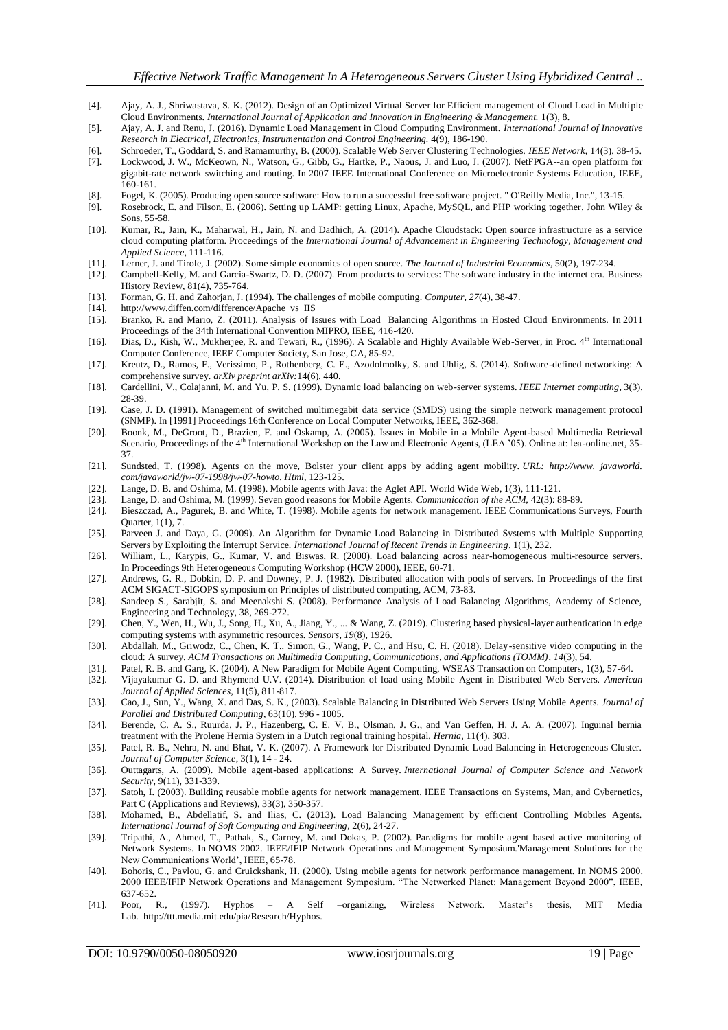- [4]. Ajay, A. J., Shriwastava, S. K. (2012). Design of an Optimized Virtual Server for Efficient management of Cloud Load in Multiple Cloud Environments. *International Journal of Application and Innovation in Engineering & Management.* 1(3), 8.
- [5]. Ajay, A. J. and Renu, J. (2016). Dynamic Load Management in Cloud Computing Environment. *International Journal of Innovative Research in Electrical, Electronics, Instrumentation and Control Engineering.* 4(9), 186-190.
- [6]. Schroeder, T., Goddard, S. and Ramamurthy, B. (2000). Scalable Web Server Clustering Technologies. *IEEE Network*, 14(3), 38-45.
- [7]. Lockwood, J. W., McKeown, N., Watson, G., Gibb, G., Hartke, P., Naous, J. and Luo, J. (2007). NetFPGA--an open platform for gigabit-rate network switching and routing. In 2007 IEEE International Conference on Microelectronic Systems Education, IEEE, 160-161.
- [8]. Fogel, K. (2005). Producing open source software: How to run a successful free software project. " O'Reilly Media, Inc.", 13-15.
- [9]. Rosebrock, E. and Filson, E. (2006). Setting up LAMP: getting Linux, Apache, MySQL, and PHP working together, John Wiley & Sons, 55-58.
- [10]. Kumar, R., Jain, K., Maharwal, H., Jain, N. and Dadhich, A. (2014). Apache Cloudstack: Open source infrastructure as a service cloud computing platform. Proceedings of the *International Journal of Advancement in Engineering Technology, Management and Applied Science*, 111-116.
- [11]. Lerner, J. and Tirole, J. (2002). Some simple economics of open source. *The Journal of Industrial Economics,* 50(2), 197-234.
- [12]. Campbell-Kelly, M. and Garcia-Swartz, D. D. (2007). From products to services: The software industry in the internet era. Business History Review, 81(4), 735-764.
- [13]. Forman, G. H. and Zahorjan, J. (1994). The challenges of mobile computing. *Computer*, *27*(4), 38-47.
- [14]. http://www.diffen.com/difference/Apache\_vs\_IIS
- [15]. Branko, R. and Mario, Z. (2011). Analysis of Issues with Load Balancing Algorithms in Hosted Cloud Environments. In 2011 Proceedings of the 34th International Convention MIPRO, IEEE, 416-420.
- [16]. Dias, D., Kish, W., Mukherjee, R. and Tewari, R., (1996). A Scalable and Highly Available Web-Server, in Proc. 4th International Computer Conference, IEEE Computer Society, San Jose, CA, 85-92.
- [17]. Kreutz, D., Ramos, F., Verissimo, P., Rothenberg, C. E., Azodolmolky, S. and Uhlig, S. (2014). Software-defined networking: A comprehensive survey. *arXiv preprint arXiv:*14(6), 440.
- [18]. Cardellini, V., Colajanni, M. and Yu, P. S. (1999). Dynamic load balancing on web-server systems. *IEEE Internet computing*, 3(3), 28-39.
- [19]. Case, J. D. (1991). Management of switched multimegabit data service (SMDS) using the simple network management protocol (SNMP). In [1991] Proceedings 16th Conference on Local Computer Networks, IEEE, 362-368.
- [20]. Boonk, M., DeGroot, D., Brazien, F. and Oskamp, A. (2005). Issues in Mobile in a Mobile Agent-based Multimedia Retrieval Scenario, Proceedings of the 4<sup>th</sup> International Workshop on the Law and Electronic Agents, (LEA '05). Online at: lea-online.net, 35-37.
- [21]. Sundsted, T. (1998). Agents on the move, Bolster your client apps by adding agent mobility. *URL: http://www. javaworld. com/javaworld/jw-07-1998/jw-07-howto. Html*, 123-125.
- [22]. Lange, D. B. and Oshima, M. (1998). Mobile agents with Java: the Aglet API. World Wide Web, 1(3), 111-121.
- [23]. Lange, D. and Oshima, M. (1999). Seven good reasons for Mobile Agents. *Communication of the ACM,* 42(3): 88-89.
- [24]. Bieszczad, A., Pagurek, B. and White, T. (1998). Mobile agents for network management. IEEE Communications Surveys, Fourth Quarter, 1(1), 7.
- [25]. Parveen J. and Daya, G. (2009). An Algorithm for Dynamic Load Balancing in Distributed Systems with Multiple Supporting Servers by Exploiting the Interrupt Service. *International Journal of Recent Trends in Engineering*, 1(1), 232.
- [26]. William, L., Karypis, G., Kumar, V. and Biswas, R. (2000). Load balancing across near-homogeneous multi-resource servers. In Proceedings 9th Heterogeneous Computing Workshop (HCW 2000), IEEE, 60-71.
- [27]. Andrews, G. R., Dobkin, D. P. and Downey, P. J. (1982). Distributed allocation with pools of servers. In Proceedings of the first ACM SIGACT-SIGOPS symposium on Principles of distributed computing, ACM, 73-83.
- [28]. Sandeep S., Sarabjit, S. and Meenakshi S. (2008). Performance Analysis of Load Balancing Algorithms, Academy of Science, Engineering and Technology, 38, 269-272.
- [29]. Chen, Y., Wen, H., Wu, J., Song, H., Xu, A., Jiang, Y., ... & Wang, Z. (2019). Clustering based physical-layer authentication in edge computing systems with asymmetric resources. *Sensors*, *19*(8), 1926.
- [30]. Abdallah, M., Griwodz, C., Chen, K. T., Simon, G., Wang, P. C., and Hsu, C. H. (2018). Delay-sensitive video computing in the cloud: A survey. *ACM Transactions on Multimedia Computing, Communications, and Applications (TOMM)*, *14*(3), 54.
- [31]. Patel, R. B. and Garg, K. (2004). A New Paradigm for Mobile Agent Computing, WSEAS Transaction on Computers, 1(3), 57-64.
- [32]. Vijayakumar G. D. and Rhymend U.V. (2014). Distribution of load using Mobile Agent in Distributed Web Servers. *American Journal of Applied Sciences,* 11(5), 811-817.
- [33]. Cao, J., Sun, Y., Wang, X. and Das, S. K., (2003). Scalable Balancing in Distributed Web Servers Using Mobile Agents. *Journal of Parallel and Distributed Computing*, 63(10), 996 - 1005.
- [34]. Berende, C. A. S., Ruurda, J. P., Hazenberg, C. E. V. B., Olsman, J. G., and Van Geffen, H. J. A. A. (2007). Inguinal hernia treatment with the Prolene Hernia System in a Dutch regional training hospital. *Hernia*, 11(4), 303.
- [35]. Patel, R. B., Nehra, N. and Bhat, V. K. (2007). A Framework for Distributed Dynamic Load Balancing in Heterogeneous Cluster. *Journal of Computer Science*, 3(1), 14 - 24.
- [36]. Outtagarts, A. (2009). Mobile agent-based applications: A Survey. *International Journal of Computer Science and Network Security*, 9(11), 331-339.
- [37]. Satoh, I. (2003). Building reusable mobile agents for network management. IEEE Transactions on Systems, Man, and Cybernetics, Part C (Applications and Reviews), 33(3), 350-357.
- [38]. Mohamed, B., Abdellatif, S. and Ilias, C. (2013). Load Balancing Management by efficient Controlling Mobiles Agents. *International Journal of Soft Computing and Engineering*, 2(6), 24-27.
- [39]. Tripathi, A., Ahmed, T., Pathak, S., Carney, M. and Dokas, P. (2002). Paradigms for mobile agent based active monitoring of Network Systems. In NOMS 2002. IEEE/IFIP Network Operations and Management Symposium.'Management Solutions for the New Communications World', IEEE, 65-78.
- [40]. Bohoris, C., Pavlou, G. and Cruickshank, H. (2000). Using mobile agents for network performance management. In NOMS 2000. 2000 IEEE/IFIP Network Operations and Management Symposium. "The Networked Planet: Management Beyond 2000", IEEE*,* 637-652.
- [41]. Poor, R., (1997). Hyphos A Self –organizing, Wireless Network. Master's thesis, MIT Media Lab. [http://ttt.media.mit.edu/pia/Research/Hyphos.](http://ttt.media.mit.edu/pia/Research/Hyphos)